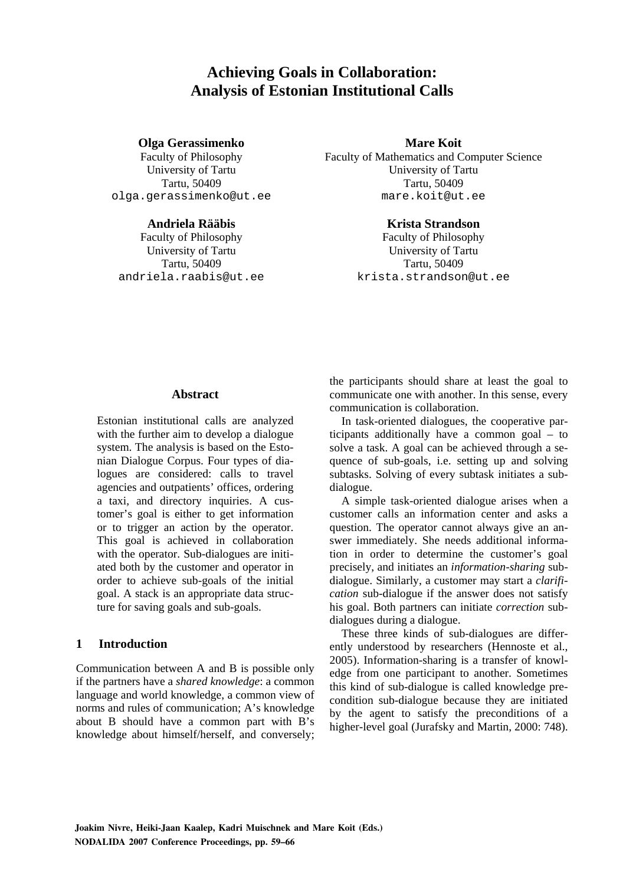# **Achieving Goals in Collaboration: Analysis of Estonian Institutional Calls**

#### **Olga Gerassimenko Mare Koit**

olga.gerassimenko@ut.ee

Faculty of Philosophy Faculty of Mathematics and Computer Science University of Tartu University of Tartu Tartu, 50409 Tartu, 50409

#### **Andriela Rääbis Krista Strandson**

Faculty of Philosophy Faculty of Philosophy University of Tartu University of Tartu Tartu, 50409 Tartu, 50409 andriela.raabis@ut.ee krista.strandson@ut.ee

#### **Abstract**

Estonian institutional calls are analyzed with the further aim to develop a dialogue system. The analysis is based on the Estonian Dialogue Corpus. Four types of dialogues are considered: calls to travel agencies and outpatients' offices, ordering a taxi, and directory inquiries. A customer's goal is either to get information or to trigger an action by the operator. This goal is achieved in collaboration with the operator. Sub-dialogues are initiated both by the customer and operator in order to achieve sub-goals of the initial goal. A stack is an appropriate data structure for saving goals and sub-goals.

## **1 Introduction**

Communication between A and B is possible only if the partners have a *shared knowledge*: a common language and world knowledge, a common view of norms and rules of communication; A's knowledge about B should have a common part with B's knowledge about himself/herself, and conversely;

the participants should share at least the goal to communicate one with another. In this sense, every communication is collaboration.

In task-oriented dialogues, the cooperative participants additionally have a common goal – to solve a task. A goal can be achieved through a sequence of sub-goals, i.e. setting up and solving subtasks. Solving of every subtask initiates a subdialogue.

A simple task-oriented dialogue arises when a customer calls an information center and asks a question. The operator cannot always give an answer immediately. She needs additional information in order to determine the customer's goal precisely, and initiates an *information-sharing* subdialogue. Similarly, a customer may start a *clarification* sub-dialogue if the answer does not satisfy his goal. Both partners can initiate *correction* subdialogues during a dialogue.

These three kinds of sub-dialogues are differently understood by researchers (Hennoste et al., 2005). Information-sharing is a transfer of knowledge from one participant to another. Sometimes this kind of sub-dialogue is called knowledge precondition sub-dialogue because they are initiated by the agent to satisfy the preconditions of a higher-level goal (Jurafsky and Martin, 2000: 748).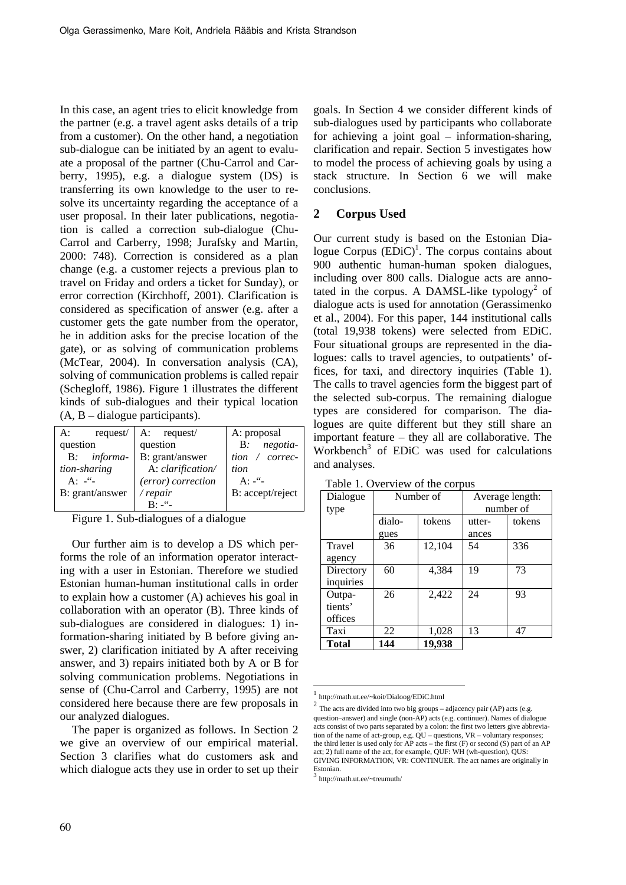In this case, an agent tries to elicit knowledge from the partner (e.g. a travel agent asks details of a trip from a customer). On the other hand, a negotiation sub-dialogue can be initiated by an agent to evaluate a proposal of the partner (Chu-Carrol and Carberry, 1995), e.g. a dialogue system (DS) is transferring its own knowledge to the user to resolve its uncertainty regarding the acceptance of a user proposal. In their later publications, negotiation is called a correction sub-dialogue (Chu-Carrol and Carberry, 1998; Jurafsky and Martin, 2000: 748). Correction is considered as a plan change (e.g. a customer rejects a previous plan to travel on Friday and orders a ticket for Sunday), or error correction (Kirchhoff, 2001). Clarification is considered as specification of answer (e.g. after a customer gets the gate number from the operator, he in addition asks for the precise location of the gate), or as solving of communication problems (McTear, 2004). In conversation analysis (CA), solving of communication problems is called repair (Schegloff, 1986). Figure 1 illustrates the different kinds of sub-dialogues and their typical location (A, B – dialogue participants).

| request<br>A:   | A: request/        | A: proposal           |
|-----------------|--------------------|-----------------------|
| question        | question           | B: negotia-           |
| B: informa-     | B: grant/answer    | tion $\prime$ correc- |
| tion-sharing    | A: clarification/  | tion                  |
| A: $-$ "-       | (error) correction | $A: -1$               |
| B: grant/answer | /repair            | B: accept/reject      |
|                 |                    |                       |

Figure 1. Sub-dialogues of a dialogue

Our further aim is to develop a DS which performs the role of an information operator interacting with a user in Estonian. Therefore we studied Estonian human-human institutional calls in order to explain how a customer (A) achieves his goal in collaboration with an operator (B). Three kinds of sub-dialogues are considered in dialogues: 1) information-sharing initiated by B before giving answer, 2) clarification initiated by A after receiving answer, and 3) repairs initiated both by A or B for solving communication problems. Negotiations in sense of (Chu-Carrol and Carberry, 1995) are not considered here because there are few proposals in our analyzed dialogues.

The paper is organized as follows. In Section 2 we give an overview of our empirical material. Section 3 clarifies what do customers ask and which dialogue acts they use in order to set up their goals. In Section 4 we consider different kinds of sub-dialogues used by participants who collaborate for achieving a joint goal – information-sharing, clarification and repair. Section 5 investigates how to model the process of achieving goals by using a stack structure. In Section 6 we will make conclusions.

## **2 Corpus Used**

Our current study is based on the Estonian Dialogue Corpus  $(EDic)^1$ . The corpus contains about 900 authentic human-human spoken dialogues, including over 800 calls. Dialogue acts are annotated in the corpus. A DAMSL-like typology<sup>2</sup> of dialogue acts is used for annotation (Gerassimenko et al., 2004). For this paper, 144 institutional calls (total 19,938 tokens) were selected from EDiC. Four situational groups are represented in the dialogues: calls to travel agencies, to outpatients' offices, for taxi, and directory inquiries (Table 1). The calls to travel agencies form the biggest part of the selected sub-corpus. The remaining dialogue types are considered for comparison. The dialogues are quite different but they still share an important feature – they all are collaborative. The  $Workbench<sup>3</sup>$  of EDiC was used for calculations and analyses.

| Dialogue     | Number of |        | Average length: |        |
|--------------|-----------|--------|-----------------|--------|
| type         |           |        | number of       |        |
|              | dialo-    | tokens | utter-          | tokens |
|              | gues      |        | ances           |        |
| Travel       | 36        | 12,104 | 54              | 336    |
| agency       |           |        |                 |        |
| Directory    | 60        | 4,384  | 19              | 73     |
| inquiries    |           |        |                 |        |
| Outpa-       | 26        | 2,422  | 24              | 93     |
| tients'      |           |        |                 |        |
| offices      |           |        |                 |        |
| Taxi         | 22        | 1,028  | 13              | 47     |
| <b>Total</b> | 144       | 19,938 |                 |        |

Table 1. Overview of the corpus

-

<sup>1</sup> http://math.ut.ee/~koit/Dialoog/EDiC.html

 $2$  The acts are divided into two big groups – adjacency pair (AP) acts (e.g. question–answer) and single (non-AP) acts (e.g. continuer). Names of dialogue acts consist of two parts separated by a colon: the first two letters give abbreviation of the name of act-group, e.g. QU – questions, VR – voluntary responses; the third letter is used only for  $\overrightarrow{AP}$  acts – the first  $(F)$  or second  $(S)$  part of an AP act; 2) full name of the act, for example, QUF: WH (wh-question), QUS: GIVING INFORMATION, VR: CONTINUER. The act names are originally in Estonian.

<sup>3</sup> http://math.ut.ee/~treumuth/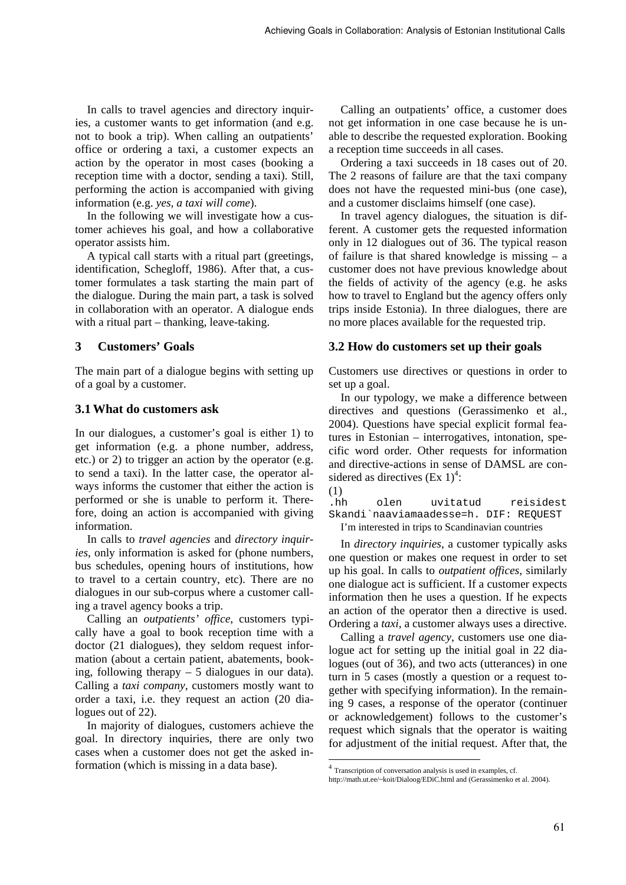In calls to travel agencies and directory inquiries, a customer wants to get information (and e.g. not to book a trip). When calling an outpatients' office or ordering a taxi, a customer expects an action by the operator in most cases (booking a reception time with a doctor, sending a taxi). Still, performing the action is accompanied with giving information (e.g. *yes, a taxi will come*).

In the following we will investigate how a customer achieves his goal, and how a collaborative operator assists him.

A typical call starts with a ritual part (greetings, identification, Schegloff, 1986). After that, a customer formulates a task starting the main part of the dialogue. During the main part, a task is solved in collaboration with an operator. A dialogue ends with a ritual part – thanking, leave-taking.

## **3 Customers' Goals**

The main part of a dialogue begins with setting up of a goal by a customer.

## **3.1 What do customers ask**

In our dialogues, a customer's goal is either 1) to get information (e.g. a phone number, address, etc.) or 2) to trigger an action by the operator (e.g. to send a taxi). In the latter case, the operator always informs the customer that either the action is performed or she is unable to perform it. Therefore, doing an action is accompanied with giving information.

In calls to *travel agencies* and *directory inquiries*, only information is asked for (phone numbers, bus schedules, opening hours of institutions, how to travel to a certain country, etc). There are no dialogues in our sub-corpus where a customer calling a travel agency books a trip.

Calling an *outpatients' office*, customers typically have a goal to book reception time with a doctor (21 dialogues), they seldom request information (about a certain patient, abatements, booking, following therapy  $-5$  dialogues in our data). Calling a *taxi company*, customers mostly want to order a taxi, i.e. they request an action (20 dialogues out of 22).

In majority of dialogues, customers achieve the goal. In directory inquiries, there are only two cases when a customer does not get the asked information (which is missing in a data base).

Calling an outpatients' office, a customer does not get information in one case because he is unable to describe the requested exploration. Booking a reception time succeeds in all cases.

Ordering a taxi succeeds in 18 cases out of 20. The 2 reasons of failure are that the taxi company does not have the requested mini-bus (one case), and a customer disclaims himself (one case).

In travel agency dialogues, the situation is different. A customer gets the requested information only in 12 dialogues out of 36. The typical reason of failure is that shared knowledge is missing – a customer does not have previous knowledge about the fields of activity of the agency (e.g. he asks how to travel to England but the agency offers only trips inside Estonia). In three dialogues, there are no more places available for the requested trip.

## **3.2 How do customers set up their goals**

Customers use directives or questions in order to set up a goal.

In our typology, we make a difference between directives and questions (Gerassimenko et al., 2004). Questions have special explicit formal features in Estonian – interrogatives, intonation, specific word order. Other requests for information and directive-actions in sense of DAMSL are considered as directives  $(Ex 1)<sup>4</sup>$ :



 $(1)$ <sub>hh</sub> olen uvitatud reisidest Skandi`naaviamaadesse=h. DIF: REQUEST I'm interested in trips to Scandinavian countries

In *directory inquiries*, a customer typically asks one question or makes one request in order to set up his goal. In calls to *outpatient offices*, similarly one dialogue act is sufficient. If a customer expects information then he uses a question. If he expects an action of the operator then a directive is used. Ordering a *taxi*, a customer always uses a directive.

Calling a *travel agency*, customers use one dialogue act for setting up the initial goal in 22 dialogues (out of 36), and two acts (utterances) in one turn in 5 cases (mostly a question or a request together with specifying information). In the remaining 9 cases, a response of the operator (continuer or acknowledgement) follows to the customer's request which signals that the operator is waiting for adjustment of the initial request. After that, the

 4 Transcription of conversation analysis is used in examples, cf. http://math.ut.ee/~koit/Dialoog/EDiC.html and (Gerassimenko et al. 2004).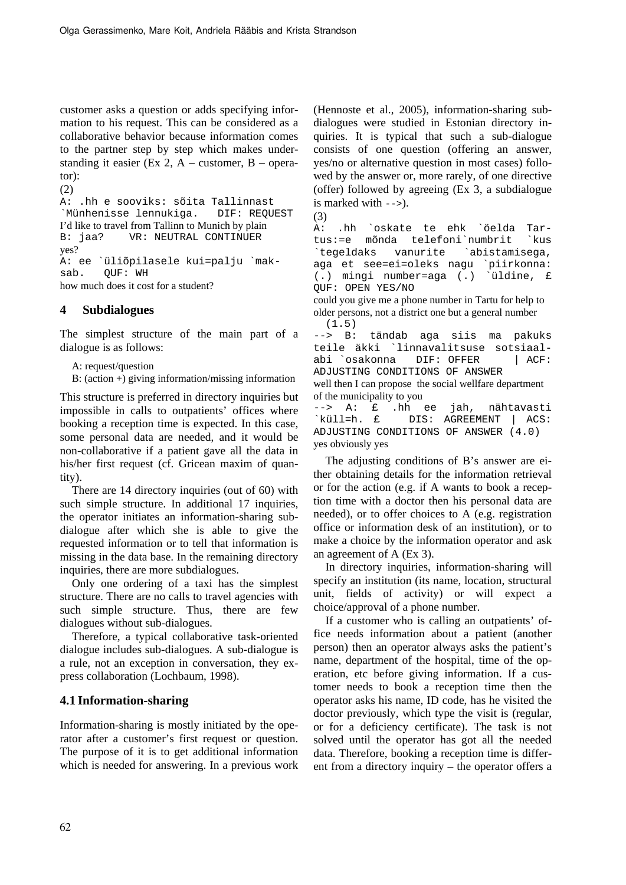customer asks a question or adds specifying information to his request. This can be considered as a collaborative behavior because information comes to the partner step by step which makes understanding it easier (Ex 2,  $A$  – customer, B – operator):

```
(2) 
A: .hh e sooviks: sõita Tallinnast 
`Münhenisse lennukiga. DIF: REQUEST 
I'd like to travel from Tallinn to Munich by plain 
B: jaa? VR: NEUTRAL CONTINUER 
yes? 
A: ee `üliõpilasele kui=palju `mak-
sab. OUF: WH
how much does it cost for a student?
```
## **4 Subdialogues**

The simplest structure of the main part of a dialogue is as follows:

A: request/question

B: (action +) giving information/missing information

This structure is preferred in directory inquiries but impossible in calls to outpatients' offices where booking a reception time is expected. In this case, some personal data are needed, and it would be non-collaborative if a patient gave all the data in his/her first request (cf. Gricean maxim of quantity).

There are 14 directory inquiries (out of 60) with such simple structure. In additional 17 inquiries, the operator initiates an information-sharing subdialogue after which she is able to give the requested information or to tell that information is missing in the data base. In the remaining directory inquiries, there are more subdialogues.

Only one ordering of a taxi has the simplest structure. There are no calls to travel agencies with such simple structure. Thus, there are few dialogues without sub-dialogues.

Therefore, a typical collaborative task-oriented dialogue includes sub-dialogues. A sub-dialogue is a rule, not an exception in conversation, they express collaboration (Lochbaum, 1998).

## **4.1 Information-sharing**

Information-sharing is mostly initiated by the operator after a customer's first request or question. The purpose of it is to get additional information which is needed for answering. In a previous work (Hennoste et al., 2005), information-sharing subdialogues were studied in Estonian directory inquiries. It is typical that such a sub-dialogue consists of one question (offering an answer, yes/no or alternative question in most cases) followed by the answer or, more rarely, of one directive (offer) followed by agreeing (Ex 3, a subdialogue is marked with -->).

(3) A: .hh `oskate te ehk `öelda Tar-

tus:=e mõnda telefoni`numbrit `kus `tegeldaks vanurite `abistamisega, aga et see=ei=oleks nagu `piirkonna: (.) mingi number=aga (.) `üldine, £ QUF: OPEN YES/NO

could you give me a phone number in Tartu for help to older persons, not a district one but a general number (1.5)

--> B: tändab aga siis ma pakuks teile äkki `linnavalitsuse sotsiaalabi `osakonna DIF: OFFER | ACF: ADJUSTING CONDITIONS OF ANSWER well then I can propose the social wellfare department of the municipality to you --> A: £ .hh ee jah, nähtavasti `küll=h. £ DIS: AGREEMENT | ACS: ADJUSTING CONDITIONS OF ANSWER (4.0)

yes obviously yes

The adjusting conditions of B's answer are either obtaining details for the information retrieval or for the action (e.g. if A wants to book a reception time with a doctor then his personal data are needed), or to offer choices to A (e.g. registration office or information desk of an institution), or to make a choice by the information operator and ask an agreement of A (Ex 3).

In directory inquiries, information-sharing will specify an institution (its name, location, structural unit, fields of activity) or will expect a choice/approval of a phone number.

If a customer who is calling an outpatients' office needs information about a patient (another person) then an operator always asks the patient's name, department of the hospital, time of the operation, etc before giving information. If a customer needs to book a reception time then the operator asks his name, ID code, has he visited the doctor previously, which type the visit is (regular, or for a deficiency certificate). The task is not solved until the operator has got all the needed data. Therefore, booking a reception time is different from a directory inquiry – the operator offers a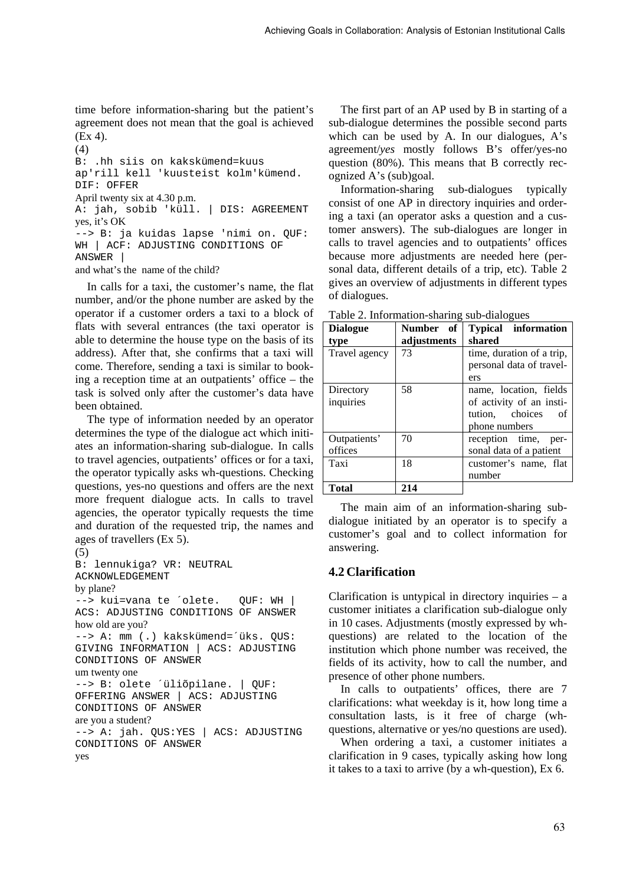time before information-sharing but the patient's agreement does not mean that the goal is achieved (Ex 4).

(4) B: .hh siis on kakskümend=kuus ap'rill kell 'kuusteist kolm'kümend. DIF: OFFER April twenty six at 4.30 p.m. A: jah, sobib 'küll. | DIS: AGREEMENT yes, it's OK --> B: ja kuidas lapse 'nimi on. QUF: WH | ACF: ADJUSTING CONDITIONS OF ANSWER | and what's the name of the child?

In calls for a taxi, the customer's name, the flat number, and/or the phone number are asked by the operator if a customer orders a taxi to a block of flats with several entrances (the taxi operator is able to determine the house type on the basis of its address). After that, she confirms that a taxi will come. Therefore, sending a taxi is similar to booking a reception time at an outpatients' office – the task is solved only after the customer's data have been obtained.

The type of information needed by an operator determines the type of the dialogue act which initiates an information-sharing sub-dialogue. In calls to travel agencies, outpatients' offices or for a taxi, the operator typically asks wh-questions. Checking questions, yes-no questions and offers are the next more frequent dialogue acts. In calls to travel agencies, the operator typically requests the time and duration of the requested trip, the names and ages of travellers (Ex 5).

```
(5) 
B: lennukiga? VR: NEUTRAL 
ACKNOWLEDGEMENT 
by plane? 
--> kui=vana te ´olete. QUF: WH | 
ACS: ADJUSTING CONDITIONS OF ANSWER 
how old are you? 
--> A: mm (.) kakskümend=´üks. QUS: 
GIVING INFORMATION | ACS: ADJUSTING 
CONDITIONS OF ANSWER 
um twenty one 
--> B: olete ´üliõpilane. | QUF: 
OFFERING ANSWER | ACS: ADJUSTING 
CONDITIONS OF ANSWER 
are you a student? 
--> A: jah. QUS:YES | ACS: ADJUSTING 
CONDITIONS OF ANSWER 
yes
```
The first part of an AP used by B in starting of a sub-dialogue determines the possible second parts which can be used by A. In our dialogues, A's agreement/*yes* mostly follows B's offer/yes-no question (80%). This means that B correctly recognized A's (sub)goal.

Information-sharing sub-dialogues typically consist of one AP in directory inquiries and ordering a taxi (an operator asks a question and a customer answers). The sub-dialogues are longer in calls to travel agencies and to outpatients' offices because more adjustments are needed here (personal data, different details of a trip, etc). Table 2 gives an overview of adjustments in different types of dialogues.

| Table 2. Information-sharing sub-dialogues |             |                            |  |  |  |
|--------------------------------------------|-------------|----------------------------|--|--|--|
| <b>Dialogue</b>                            | Number of   | <b>Typical</b> information |  |  |  |
| type                                       | adjustments | shared                     |  |  |  |
| Travel agency                              | 73          | time, duration of a trip,  |  |  |  |
|                                            |             | personal data of travel-   |  |  |  |
|                                            |             | ers                        |  |  |  |
| Directory                                  | 58          | name, location, fields     |  |  |  |
| inquiries                                  |             | of activity of an insti-   |  |  |  |
|                                            |             | tution, choices<br>of      |  |  |  |
|                                            |             | phone numbers              |  |  |  |
| Outpatients'                               | 70          | reception time, per-       |  |  |  |
| offices                                    |             | sonal data of a patient    |  |  |  |
| Taxi                                       | 18          | customer's name, flat      |  |  |  |
|                                            |             | number                     |  |  |  |
| <b>Total</b>                               | 214         |                            |  |  |  |

The main aim of an information-sharing subdialogue initiated by an operator is to specify a customer's goal and to collect information for answering.

## **4.2 Clarification**

Clarification is untypical in directory inquiries  $-$  a customer initiates a clarification sub-dialogue only in 10 cases. Adjustments (mostly expressed by whquestions) are related to the location of the institution which phone number was received, the fields of its activity, how to call the number, and presence of other phone numbers.

In calls to outpatients' offices, there are 7 clarifications: what weekday is it, how long time a consultation lasts, is it free of charge (whquestions, alternative or yes/no questions are used).

When ordering a taxi, a customer initiates a clarification in 9 cases, typically asking how long it takes to a taxi to arrive (by a wh-question), Ex 6.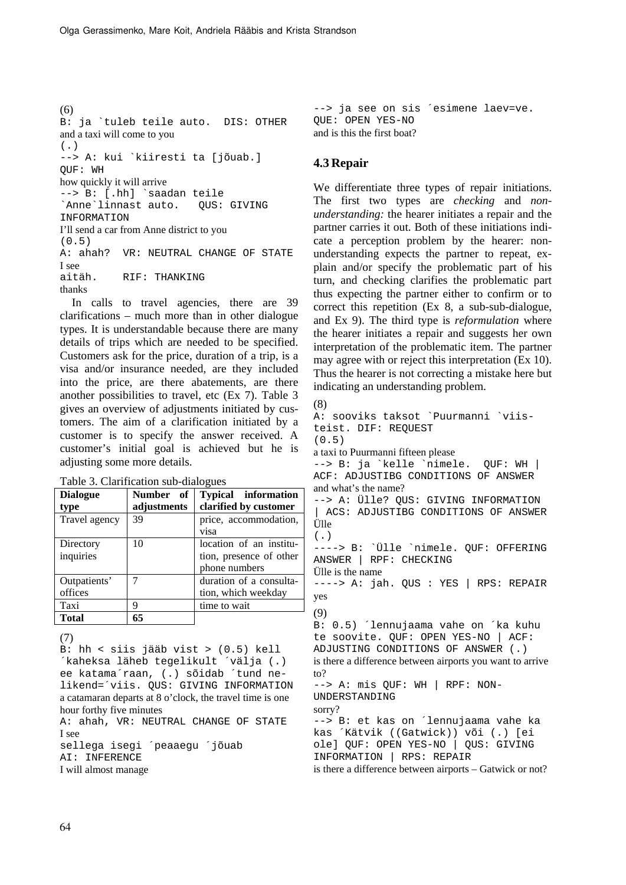(6) B: ja `tuleb teile auto. DIS: OTHER and a taxi will come to you  $($ . $)$ --> A: kui `kiiresti ta [jõuab.] QUF: WH how quickly it will arrive --> B: [.hh] `saadan teile `Anne`linnast auto. QUS: GIVING **INFORMATION** I'll send a car from Anne district to you (0.5) A: ahah? VR: NEUTRAL CHANGE OF STATE I see aitäh. RIF: THANKING thanks

In calls to travel agencies, there are 39 clarifications – much more than in other dialogue types. It is understandable because there are many details of trips which are needed to be specified. Customers ask for the price, duration of a trip, is a visa and/or insurance needed, are they included into the price, are there abatements, are there another possibilities to travel, etc (Ex 7). Table 3 gives an overview of adjustments initiated by customers. The aim of a clarification initiated by a customer is to specify the answer received. A customer's initial goal is achieved but he is adjusting some more details.

Table 3. Clarification sub-dialogues

| <b>Dialogue</b> | Number of   | <b>Typical</b> information |
|-----------------|-------------|----------------------------|
| type            | adjustments | clarified by customer      |
| Travel agency   | 39          | price, accommodation,      |
|                 |             | visa                       |
| Directory       | 10          | location of an institu-    |
| inquiries       |             | tion, presence of other    |
|                 |             | phone numbers              |
| Outpatients'    | 7           | duration of a consulta-    |
| offices         |             | tion, which weekday        |
| Taxi            | q           | time to wait               |
| <b>Total</b>    | 65          |                            |

(7)

B: hh < siis jääb vist > (0.5) kell ´kaheksa läheb tegelikult ´välja (.) ee katama´raan, (.) sõidab ´tund nelikend=´viis. QUS: GIVING INFORMATION a catamaran departs at 8 o'clock, the travel time is one hour forthy five minutes A: ahah, VR: NEUTRAL CHANGE OF STATE I see

sellega isegi ´peaaegu ´jõuab AI: INFERENCE

I will almost manage

```
--> ja see on sis ´esimene laev=ve. 
QUE: OPEN YES-NO 
and is this the first boat?
```
#### **4.3 Repair**

We differentiate three types of repair initiations. The first two types are *checking* and *nonunderstanding:* the hearer initiates a repair and the partner carries it out. Both of these initiations indicate a perception problem by the hearer: nonunderstanding expects the partner to repeat, explain and/or specify the problematic part of his turn, and checking clarifies the problematic part thus expecting the partner either to confirm or to correct this repetition (Ex 8, a sub-sub-dialogue, and Ex 9). The third type is *reformulation* where the hearer initiates a repair and suggests her own interpretation of the problematic item. The partner may agree with or reject this interpretation (Ex 10). Thus the hearer is not correcting a mistake here but indicating an understanding problem.

```
(8) 
A: sooviks taksot `Puurmanni `viis-
teist. DIF: REQUEST 
(0.5) 
a taxi to Puurmanni fifteen please 
--> B: ja `kelle `nimele. QUF: WH | 
ACF: ADJUSTIBG CONDITIONS OF ANSWER 
and what's the name? 
--> A: Ülle? QUS: GIVING INFORMATION 
| ACS: ADJUSTIBG CONDITIONS OF ANSWER 
Ülle 
(\cdot)----> B: `Ülle `nimele. QUF: OFFERING 
ANSWER | RPF: CHECKING 
Ülle is the name 
----> A: jah. QUS : YES | RPS: REPAIR 
yes 
(9) 
B: 0.5) ´lennujaama vahe on ´ka kuhu 
te soovite. QUF: OPEN YES-NO | ACF: 
ADJUSTING CONDITIONS OF ANSWER (.) 
is there a difference between airports you want to arrive 
to? 
--> A: mis QUF: WH | RPF: NON-
UNDERSTANDING 
sorry? 
--> B: et kas on ´lennujaama vahe ka 
kas ´Kätvik ((Gatwick)) või (.) [ei 
ole] QUF: OPEN YES-NO | QUS: GIVING 
INFORMATION | RPS: REPAIR 
is there a difference between airports – Gatwick or not?
```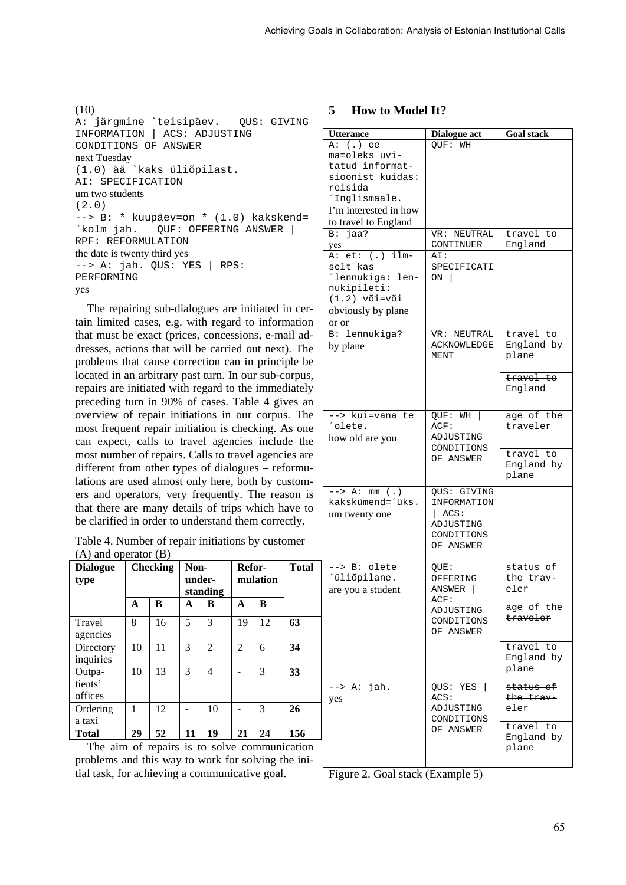(10) A: järgmine `teisipäev. QUS: GIVING INFORMATION | ACS: ADJUSTING CONDITIONS OF ANSWER next Tuesday (1.0) ää `kaks üliõpilast. AI: SPECIFICATION um two students (2.0) --> B: \* kuupäev=on \* (1.0) kakskend=<br>`kolm jah. QUF: OFFERING ANSWER | QUF: OFFERING ANSWER | RPF: REFORMULATION the date is twenty third yes --> A: jah. QUS: YES | RPS: PERFORMING yes

The repairing sub-dialogues are initiated in certain limited cases, e.g. with regard to information that must be exact (prices, concessions, e-mail addresses, actions that will be carried out next). The problems that cause correction can in principle be located in an arbitrary past turn. In our sub-corpus, repairs are initiated with regard to the immediately preceding turn in 90% of cases. Table 4 gives an overview of repair initiations in our corpus. The most frequent repair initiation is checking. As one can expect, calls to travel agencies include the most number of repairs. Calls to travel agencies are different from other types of dialogues – reformulations are used almost only here, both by customers and operators, very frequently. The reason is that there are many details of trips which have to be clarified in order to understand them correctly.

Table 4. Number of repair initiations by customer (A) and operator (B)

| <b>Dialogue</b><br>type      |    | <b>Checking</b> | Non-<br>under- | standing       | Refor-         | mulation | <b>Total</b> |
|------------------------------|----|-----------------|----------------|----------------|----------------|----------|--------------|
|                              | A  | B               | A              | в              | A              | B        |              |
| Travel<br>agencies           | 8  | 16              | 5              | 3              | 19             | 12       | 63           |
| Directory<br>inquiries       | 10 | 11              | 3              | $\overline{2}$ | $\overline{2}$ | 6        | 34           |
| Outpa-<br>tients'<br>offices | 10 | 13              | 3              | 4              |                | 3        | 33           |
| Ordering<br>a taxi           | 1  | 12              |                | 10             |                | 3        | 26           |
| <b>Total</b>                 | 29 | 52              | 11             | 19             | 21             | 24       | 156          |

The aim of repairs is to solve communication problems and this way to work for solving the initial task, for achieving a communicative goal.

## **5 How to Model It?**

| A: (.) ee<br>QUF: WH<br>ma=oleks uvi-<br>tatud informat-<br>sioonist kuidas:<br>reisida<br>'Inglismaale.<br>I'm interested in how<br>to travel to England<br>B: jaa?<br>VR: NEUTRAL<br>travel to<br>CONTINUER<br>England<br>yes<br>.<br>A: et: (.) ilm-<br>AI:<br>selt kas<br>SPECIFICATI<br>'lennukiga: len-<br>ON  <br>nukipileti:<br>$(1.2)$ või=või<br>obviously by plane<br>or or<br>B: lennukiga?<br>travel to<br>VR: NEUTRAL<br><b>ACKNOWLEDGE</b><br>England by<br>by plane<br>MENT<br>plane<br>travel to<br>England<br>--> kui=vana te<br>age of the<br>QUF: WH<br>'olete.<br>traveler<br>ACF:<br>ADJUSTING<br>how old are you<br>CONDITIONS<br>travel to<br>OF ANSWER<br>England by<br>plane<br>$\overline{\hspace{1cm}}$ --> A: mm (.)<br>QUS: GIVING<br>kakskümend=´üks.<br>INFORMATION<br>$ $ ACS:<br>um twenty one<br>ADJUSTING<br>CONDITIONS<br>OF ANSWER<br>--> B: olete<br>status of<br>QUE:<br>´üliõpilane.<br>the trav-<br>OFFERING<br>ANSWER<br>eler<br>are you a student<br>ACF:<br>age of the<br>ADJUSTING<br><del>traveler</del><br>CONDITIONS<br>OF ANSWER<br>travel to<br>England by<br>plane<br>jah.<br>status of<br>--> A:<br>QUS: YES<br>ACS:<br>the trav<br>yes<br>ADJUSTING<br>e <del>l</del> er<br>CONDITIONS<br>travel to<br>OF ANSWER | England by<br>plane | <b>Utterance</b> | Dialogue act | <b>Goal stack</b> |
|------------------------------------------------------------------------------------------------------------------------------------------------------------------------------------------------------------------------------------------------------------------------------------------------------------------------------------------------------------------------------------------------------------------------------------------------------------------------------------------------------------------------------------------------------------------------------------------------------------------------------------------------------------------------------------------------------------------------------------------------------------------------------------------------------------------------------------------------------------------------------------------------------------------------------------------------------------------------------------------------------------------------------------------------------------------------------------------------------------------------------------------------------------------------------------------------------------------------------------------------------------------------|---------------------|------------------|--------------|-------------------|
|                                                                                                                                                                                                                                                                                                                                                                                                                                                                                                                                                                                                                                                                                                                                                                                                                                                                                                                                                                                                                                                                                                                                                                                                                                                                        |                     |                  |              |                   |
|                                                                                                                                                                                                                                                                                                                                                                                                                                                                                                                                                                                                                                                                                                                                                                                                                                                                                                                                                                                                                                                                                                                                                                                                                                                                        |                     |                  |              |                   |
|                                                                                                                                                                                                                                                                                                                                                                                                                                                                                                                                                                                                                                                                                                                                                                                                                                                                                                                                                                                                                                                                                                                                                                                                                                                                        |                     |                  |              |                   |
|                                                                                                                                                                                                                                                                                                                                                                                                                                                                                                                                                                                                                                                                                                                                                                                                                                                                                                                                                                                                                                                                                                                                                                                                                                                                        |                     |                  |              |                   |
|                                                                                                                                                                                                                                                                                                                                                                                                                                                                                                                                                                                                                                                                                                                                                                                                                                                                                                                                                                                                                                                                                                                                                                                                                                                                        |                     |                  |              |                   |
|                                                                                                                                                                                                                                                                                                                                                                                                                                                                                                                                                                                                                                                                                                                                                                                                                                                                                                                                                                                                                                                                                                                                                                                                                                                                        |                     |                  |              |                   |
|                                                                                                                                                                                                                                                                                                                                                                                                                                                                                                                                                                                                                                                                                                                                                                                                                                                                                                                                                                                                                                                                                                                                                                                                                                                                        |                     |                  |              |                   |
|                                                                                                                                                                                                                                                                                                                                                                                                                                                                                                                                                                                                                                                                                                                                                                                                                                                                                                                                                                                                                                                                                                                                                                                                                                                                        |                     |                  |              |                   |
|                                                                                                                                                                                                                                                                                                                                                                                                                                                                                                                                                                                                                                                                                                                                                                                                                                                                                                                                                                                                                                                                                                                                                                                                                                                                        |                     |                  |              |                   |
|                                                                                                                                                                                                                                                                                                                                                                                                                                                                                                                                                                                                                                                                                                                                                                                                                                                                                                                                                                                                                                                                                                                                                                                                                                                                        |                     |                  |              |                   |
|                                                                                                                                                                                                                                                                                                                                                                                                                                                                                                                                                                                                                                                                                                                                                                                                                                                                                                                                                                                                                                                                                                                                                                                                                                                                        |                     |                  |              |                   |
|                                                                                                                                                                                                                                                                                                                                                                                                                                                                                                                                                                                                                                                                                                                                                                                                                                                                                                                                                                                                                                                                                                                                                                                                                                                                        |                     |                  |              |                   |
|                                                                                                                                                                                                                                                                                                                                                                                                                                                                                                                                                                                                                                                                                                                                                                                                                                                                                                                                                                                                                                                                                                                                                                                                                                                                        |                     |                  |              |                   |
|                                                                                                                                                                                                                                                                                                                                                                                                                                                                                                                                                                                                                                                                                                                                                                                                                                                                                                                                                                                                                                                                                                                                                                                                                                                                        |                     |                  |              |                   |
|                                                                                                                                                                                                                                                                                                                                                                                                                                                                                                                                                                                                                                                                                                                                                                                                                                                                                                                                                                                                                                                                                                                                                                                                                                                                        |                     |                  |              |                   |
|                                                                                                                                                                                                                                                                                                                                                                                                                                                                                                                                                                                                                                                                                                                                                                                                                                                                                                                                                                                                                                                                                                                                                                                                                                                                        |                     |                  |              |                   |
|                                                                                                                                                                                                                                                                                                                                                                                                                                                                                                                                                                                                                                                                                                                                                                                                                                                                                                                                                                                                                                                                                                                                                                                                                                                                        |                     |                  |              |                   |
|                                                                                                                                                                                                                                                                                                                                                                                                                                                                                                                                                                                                                                                                                                                                                                                                                                                                                                                                                                                                                                                                                                                                                                                                                                                                        |                     |                  |              |                   |
|                                                                                                                                                                                                                                                                                                                                                                                                                                                                                                                                                                                                                                                                                                                                                                                                                                                                                                                                                                                                                                                                                                                                                                                                                                                                        |                     |                  |              |                   |
|                                                                                                                                                                                                                                                                                                                                                                                                                                                                                                                                                                                                                                                                                                                                                                                                                                                                                                                                                                                                                                                                                                                                                                                                                                                                        |                     |                  |              |                   |
|                                                                                                                                                                                                                                                                                                                                                                                                                                                                                                                                                                                                                                                                                                                                                                                                                                                                                                                                                                                                                                                                                                                                                                                                                                                                        |                     |                  |              |                   |
|                                                                                                                                                                                                                                                                                                                                                                                                                                                                                                                                                                                                                                                                                                                                                                                                                                                                                                                                                                                                                                                                                                                                                                                                                                                                        |                     |                  |              |                   |
|                                                                                                                                                                                                                                                                                                                                                                                                                                                                                                                                                                                                                                                                                                                                                                                                                                                                                                                                                                                                                                                                                                                                                                                                                                                                        |                     |                  |              |                   |
|                                                                                                                                                                                                                                                                                                                                                                                                                                                                                                                                                                                                                                                                                                                                                                                                                                                                                                                                                                                                                                                                                                                                                                                                                                                                        |                     |                  |              |                   |
|                                                                                                                                                                                                                                                                                                                                                                                                                                                                                                                                                                                                                                                                                                                                                                                                                                                                                                                                                                                                                                                                                                                                                                                                                                                                        |                     |                  |              |                   |
|                                                                                                                                                                                                                                                                                                                                                                                                                                                                                                                                                                                                                                                                                                                                                                                                                                                                                                                                                                                                                                                                                                                                                                                                                                                                        |                     |                  |              |                   |
|                                                                                                                                                                                                                                                                                                                                                                                                                                                                                                                                                                                                                                                                                                                                                                                                                                                                                                                                                                                                                                                                                                                                                                                                                                                                        |                     |                  |              |                   |
|                                                                                                                                                                                                                                                                                                                                                                                                                                                                                                                                                                                                                                                                                                                                                                                                                                                                                                                                                                                                                                                                                                                                                                                                                                                                        |                     |                  |              |                   |
|                                                                                                                                                                                                                                                                                                                                                                                                                                                                                                                                                                                                                                                                                                                                                                                                                                                                                                                                                                                                                                                                                                                                                                                                                                                                        |                     |                  |              |                   |
|                                                                                                                                                                                                                                                                                                                                                                                                                                                                                                                                                                                                                                                                                                                                                                                                                                                                                                                                                                                                                                                                                                                                                                                                                                                                        |                     |                  |              |                   |
|                                                                                                                                                                                                                                                                                                                                                                                                                                                                                                                                                                                                                                                                                                                                                                                                                                                                                                                                                                                                                                                                                                                                                                                                                                                                        |                     |                  |              |                   |
|                                                                                                                                                                                                                                                                                                                                                                                                                                                                                                                                                                                                                                                                                                                                                                                                                                                                                                                                                                                                                                                                                                                                                                                                                                                                        |                     |                  |              |                   |
|                                                                                                                                                                                                                                                                                                                                                                                                                                                                                                                                                                                                                                                                                                                                                                                                                                                                                                                                                                                                                                                                                                                                                                                                                                                                        |                     |                  |              |                   |
|                                                                                                                                                                                                                                                                                                                                                                                                                                                                                                                                                                                                                                                                                                                                                                                                                                                                                                                                                                                                                                                                                                                                                                                                                                                                        |                     |                  |              |                   |
|                                                                                                                                                                                                                                                                                                                                                                                                                                                                                                                                                                                                                                                                                                                                                                                                                                                                                                                                                                                                                                                                                                                                                                                                                                                                        |                     |                  |              |                   |
|                                                                                                                                                                                                                                                                                                                                                                                                                                                                                                                                                                                                                                                                                                                                                                                                                                                                                                                                                                                                                                                                                                                                                                                                                                                                        |                     |                  |              |                   |
|                                                                                                                                                                                                                                                                                                                                                                                                                                                                                                                                                                                                                                                                                                                                                                                                                                                                                                                                                                                                                                                                                                                                                                                                                                                                        |                     |                  |              |                   |
|                                                                                                                                                                                                                                                                                                                                                                                                                                                                                                                                                                                                                                                                                                                                                                                                                                                                                                                                                                                                                                                                                                                                                                                                                                                                        |                     |                  |              |                   |
|                                                                                                                                                                                                                                                                                                                                                                                                                                                                                                                                                                                                                                                                                                                                                                                                                                                                                                                                                                                                                                                                                                                                                                                                                                                                        |                     |                  |              |                   |
|                                                                                                                                                                                                                                                                                                                                                                                                                                                                                                                                                                                                                                                                                                                                                                                                                                                                                                                                                                                                                                                                                                                                                                                                                                                                        |                     |                  |              |                   |
|                                                                                                                                                                                                                                                                                                                                                                                                                                                                                                                                                                                                                                                                                                                                                                                                                                                                                                                                                                                                                                                                                                                                                                                                                                                                        |                     |                  |              |                   |
|                                                                                                                                                                                                                                                                                                                                                                                                                                                                                                                                                                                                                                                                                                                                                                                                                                                                                                                                                                                                                                                                                                                                                                                                                                                                        |                     |                  |              |                   |
|                                                                                                                                                                                                                                                                                                                                                                                                                                                                                                                                                                                                                                                                                                                                                                                                                                                                                                                                                                                                                                                                                                                                                                                                                                                                        |                     |                  |              |                   |
|                                                                                                                                                                                                                                                                                                                                                                                                                                                                                                                                                                                                                                                                                                                                                                                                                                                                                                                                                                                                                                                                                                                                                                                                                                                                        |                     |                  |              |                   |
|                                                                                                                                                                                                                                                                                                                                                                                                                                                                                                                                                                                                                                                                                                                                                                                                                                                                                                                                                                                                                                                                                                                                                                                                                                                                        |                     |                  |              |                   |
|                                                                                                                                                                                                                                                                                                                                                                                                                                                                                                                                                                                                                                                                                                                                                                                                                                                                                                                                                                                                                                                                                                                                                                                                                                                                        |                     |                  |              |                   |
|                                                                                                                                                                                                                                                                                                                                                                                                                                                                                                                                                                                                                                                                                                                                                                                                                                                                                                                                                                                                                                                                                                                                                                                                                                                                        |                     |                  |              |                   |
|                                                                                                                                                                                                                                                                                                                                                                                                                                                                                                                                                                                                                                                                                                                                                                                                                                                                                                                                                                                                                                                                                                                                                                                                                                                                        |                     |                  |              |                   |
|                                                                                                                                                                                                                                                                                                                                                                                                                                                                                                                                                                                                                                                                                                                                                                                                                                                                                                                                                                                                                                                                                                                                                                                                                                                                        |                     |                  |              |                   |
|                                                                                                                                                                                                                                                                                                                                                                                                                                                                                                                                                                                                                                                                                                                                                                                                                                                                                                                                                                                                                                                                                                                                                                                                                                                                        |                     |                  |              |                   |

Figure 2. Goal stack (Example 5)